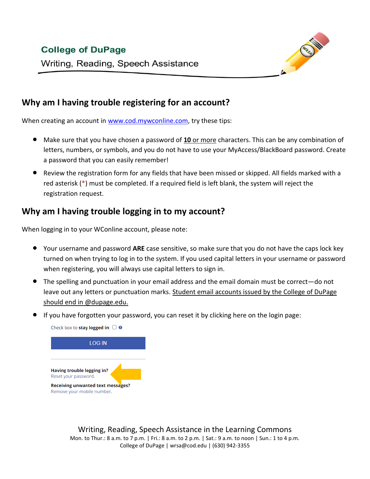## **College of DuPage**



Writing, Reading, Speech Assistance

#### **Why am I having trouble registering for an account?**

When creating an account in [www.cod.mywconline.com,](http://www.cod.mywconline.com/) try these tips:

- Make sure that you have chosen a password of **10** or more characters. This can be any combination of letters, numbers, or symbols, and you do not have to use your MyAccess/BlackBoard password. Create a password that you can easily remember!
- Review the registration form for any fields that have been missed or skipped. All fields marked with a red asterisk (\*) must be completed. If a required field is left blank, the system will reject the registration request.

## **Why am I having trouble logging in to my account?**

When logging in to your WConline account, please note:

- Your username and password **ARE** case sensitive, so make sure that you do not have the caps lock key turned on when trying to log in to the system. If you used capital letters in your username or password when registering, you will always use capital letters to sign in.
- The spelling and punctuation in your email address and the email domain must be correct—do not leave out any letters or punctuation marks. Student email accounts issued by the College of DuPage should end in @dupage.edu.
- If you have forgotten your password, you can reset it by clicking here on the login page:



Writing, Reading, Speech Assistance in the Learning Commons Mon. to Thur.: 8 a.m. to 7 p.m. | Fri.: 8 a.m. to 2 p.m. | Sat.: 9 a.m. to noon | Sun.: 1 to 4 p.m. College of DuPage | wrsa@cod.edu | (630) 942-3355